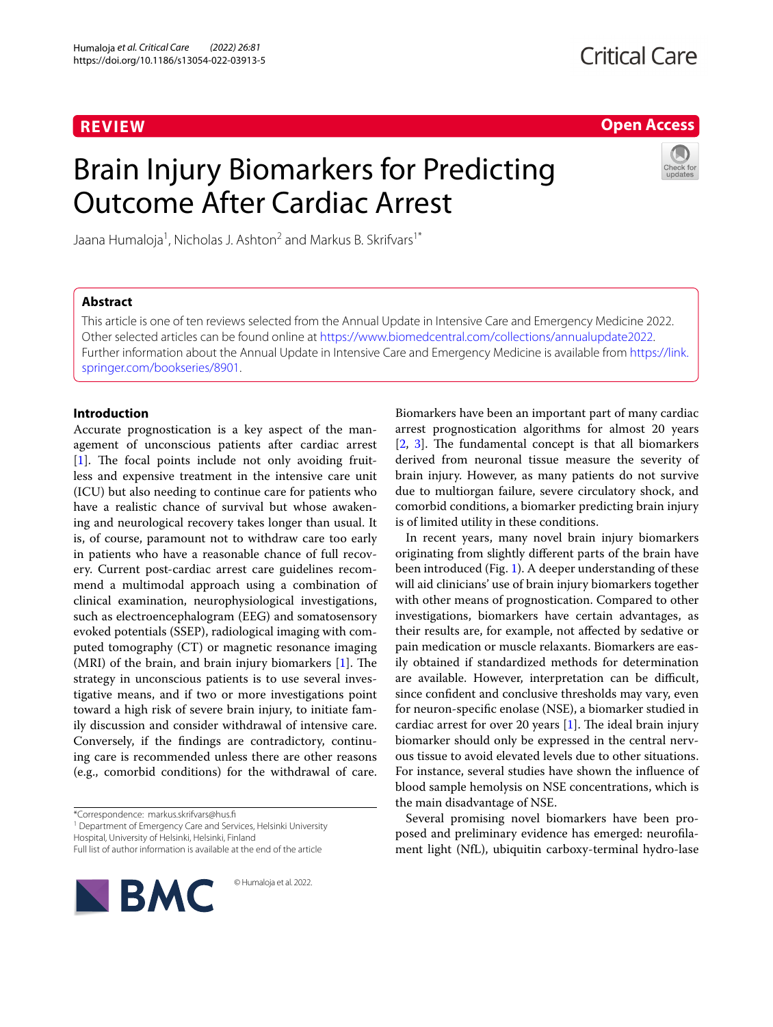# **REVIEW**

## **Open Access**

# Brain Injury Biomarkers for Predicting Outcome After Cardiac Arrest



Jaana Humaloja<sup>1</sup>, Nicholas J. Ashton<sup>2</sup> and Markus B. Skrifvars<sup>1\*</sup>

## **Abstract**

This article is one of ten reviews selected from the Annual Update in Intensive Care and Emergency Medicine 2022. Other selected articles can be found online at <https://www.biomedcentral.com/collections/annualupdate2022>. Further information about the Annual Update in Intensive Care and Emergency Medicine is available from [https://link.](https://link.springer.com/bookseries/8901) [springer.com/bookseries/8901.](https://link.springer.com/bookseries/8901)

## **Introduction**

Accurate prognostication is a key aspect of the management of unconscious patients after cardiac arrest [[1\]](#page-7-0). The focal points include not only avoiding fruitless and expensive treatment in the intensive care unit (ICU) but also needing to continue care for patients who have a realistic chance of survival but whose awakening and neurological recovery takes longer than usual. It is, of course, paramount not to withdraw care too early in patients who have a reasonable chance of full recovery. Current post-cardiac arrest care guidelines recommend a multimodal approach using a combination of clinical examination, neurophysiological investigations, such as electroencephalogram (EEG) and somatosensory evoked potentials (SSEP), radiological imaging with computed tomography (CT) or magnetic resonance imaging (MRI) of the brain, and brain injury biomarkers [[1\]](#page-7-0). The strategy in unconscious patients is to use several investigative means, and if two or more investigations point toward a high risk of severe brain injury, to initiate family discussion and consider withdrawal of intensive care. Conversely, if the findings are contradictory, continuing care is recommended unless there are other reasons (e.g., comorbid conditions) for the withdrawal of care.

\*Correspondence: markus.skrifvars@hus.fi

<sup>1</sup> Department of Emergency Care and Services, Helsinki University Hospital, University of Helsinki, Helsinki, Finland

Full list of author information is available at the end of the article

**BMC** 

© Humaloja et al. 2022.

Biomarkers have been an important part of many cardiac arrest prognostication algorithms for almost 20 years [[2,](#page-7-1) [3](#page-7-2)]. The fundamental concept is that all biomarkers derived from neuronal tissue measure the severity of brain injury. However, as many patients do not survive due to multiorgan failure, severe circulatory shock, and comorbid conditions, a biomarker predicting brain injury is of limited utility in these conditions.

In recent years, many novel brain injury biomarkers originating from slightly different parts of the brain have been introduced (Fig. [1\)](#page-1-0). A deeper understanding of these will aid clinicians' use of brain injury biomarkers together with other means of prognostication. Compared to other investigations, biomarkers have certain advantages, as their results are, for example, not affected by sedative or pain medication or muscle relaxants. Biomarkers are easily obtained if standardized methods for determination are available. However, interpretation can be difficult, since confident and conclusive thresholds may vary, even for neuron-specific enolase (NSE), a biomarker studied in cardiac arrest for over 20 years  $[1]$  $[1]$ . The ideal brain injury biomarker should only be expressed in the central nervous tissue to avoid elevated levels due to other situations. For instance, several studies have shown the influence of blood sample hemolysis on NSE concentrations, which is the main disadvantage of NSE.

Several promising novel biomarkers have been proposed and preliminary evidence has emerged: neurofilament light (NfL), ubiquitin carboxy-terminal hydro-lase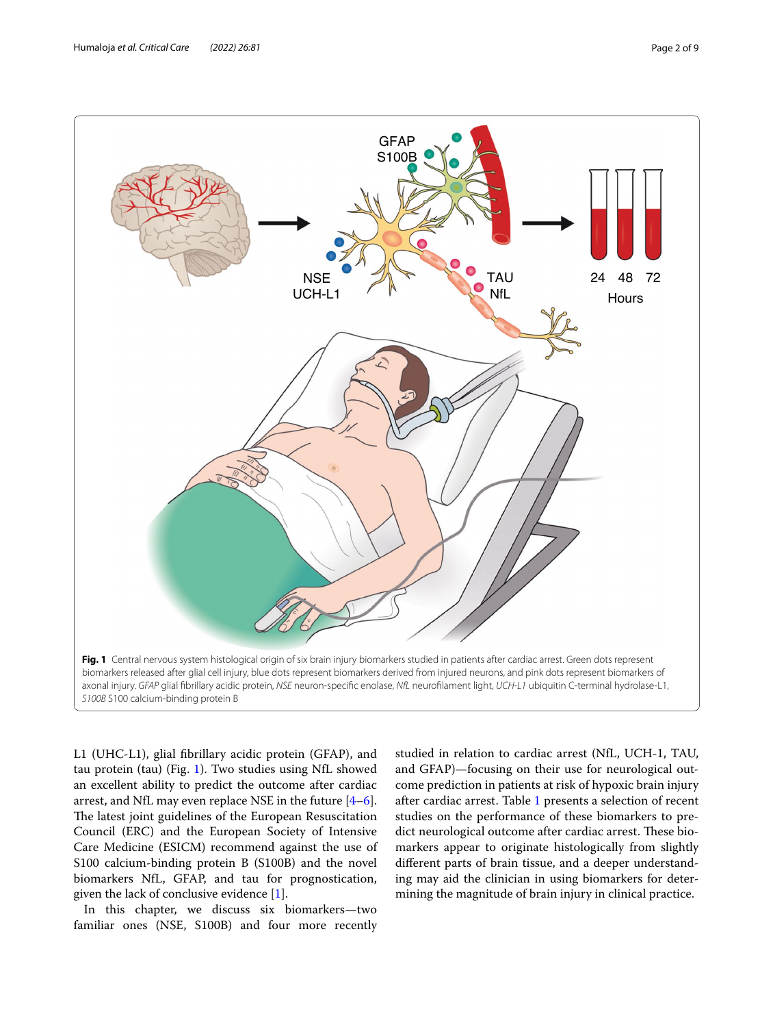

<span id="page-1-0"></span>L1 (UHC-L1), glial fibrillary acidic protein (GFAP), and tau protein (tau) (Fig. [1](#page-1-0)). Two studies using NfL showed an excellent ability to predict the outcome after cardiac arrest, and NfL may even replace NSE in the future [\[4](#page-7-3)[–6](#page-7-4)]. The latest joint guidelines of the European Resuscitation Council (ERC) and the European Society of Intensive Care Medicine (ESICM) recommend against the use of S100 calcium-binding protein B (S100B) and the novel biomarkers NfL, GFAP, and tau for prognostication, given the lack of conclusive evidence [[1\]](#page-7-0).

In this chapter, we discuss six biomarkers—two familiar ones (NSE, S100B) and four more recently studied in relation to cardiac arrest (NfL, UCH-1, TAU, and GFAP)—focusing on their use for neurological outcome prediction in patients at risk of hypoxic brain injury after cardiac arrest. Table [1](#page-2-0) presents a selection of recent studies on the performance of these biomarkers to predict neurological outcome after cardiac arrest. These biomarkers appear to originate histologically from slightly different parts of brain tissue, and a deeper understanding may aid the clinician in using biomarkers for determining the magnitude of brain injury in clinical practice.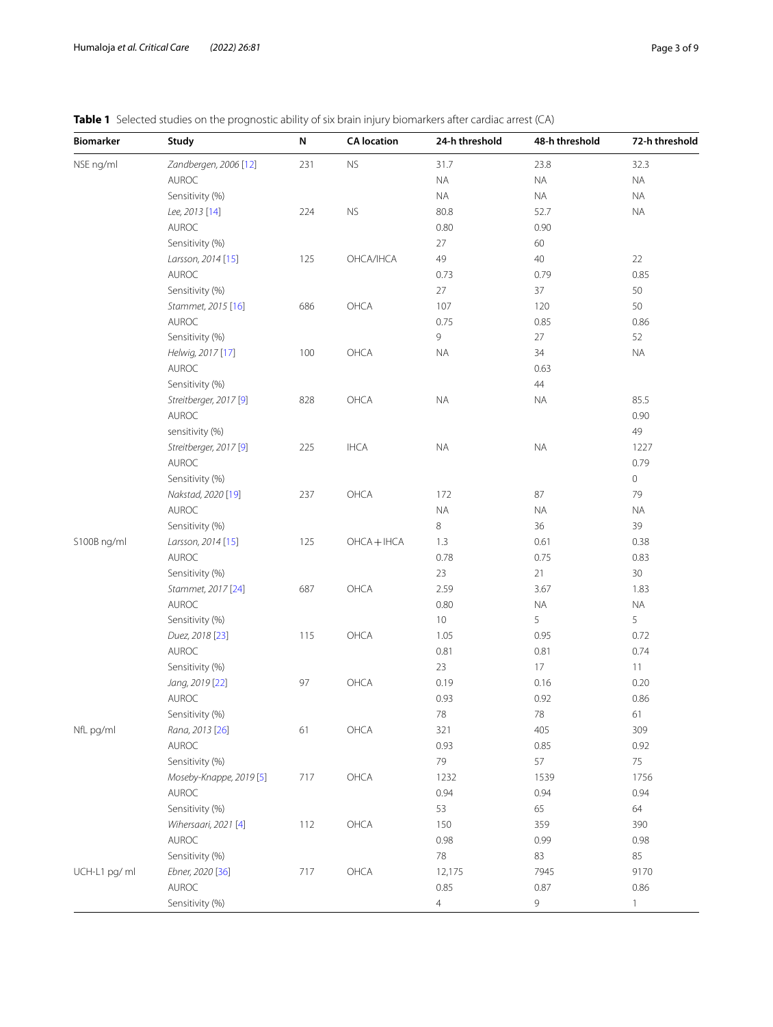# <span id="page-2-0"></span>**Table 1** Selected studies on the prognostic ability of six brain injury biomarkers after cardiac arrest (CA)

| <b>Biomarker</b> | Study                             | N   | <b>CA</b> location | 24-h threshold | 48-h threshold | 72-h threshold |
|------------------|-----------------------------------|-----|--------------------|----------------|----------------|----------------|
| NSE ng/ml        | Zandbergen, 2006 [12]             | 231 | ${\sf NS}$         | 31.7           | 23.8           | 32.3           |
|                  | AUROC                             |     |                    | <b>NA</b>      | <b>NA</b>      | $\sf NA$       |
|                  | Sensitivity (%)                   |     |                    | <b>NA</b>      | <b>NA</b>      | $\sf NA$       |
|                  | Lee, 2013 [14]                    | 224 | ${\sf NS}$         | 80.8           | 52.7           | <b>NA</b>      |
|                  | AUROC                             |     |                    | 0.80           | 0.90           |                |
|                  | Sensitivity (%)                   |     |                    | 27             | 60             |                |
|                  | Larsson, 2014 [15]                | 125 | OHCA/IHCA          | 49             | 40             | 22             |
|                  | <b>AUROC</b>                      |     |                    | 0.73           | 0.79           | 0.85           |
|                  | Sensitivity (%)                   |     |                    | 27             | 37             | 50             |
|                  | Stammet, 2015 [16]                | 686 | OHCA               | 107            | 120            | 50             |
|                  | AUROC                             |     |                    | 0.75           | 0.85           | 0.86           |
|                  | Sensitivity (%)                   |     |                    | 9              | 27             | 52             |
|                  | Helwig, 2017 [17]                 | 100 | OHCA               | <b>NA</b>      | 34             | $\sf NA$       |
|                  | <b>AUROC</b>                      |     |                    |                | 0.63           |                |
|                  | Sensitivity (%)                   |     |                    |                | 44             |                |
|                  | Streitberger, 2017 <sup>[9]</sup> | 828 | OHCA               | <b>NA</b>      | <b>NA</b>      | 85.5           |
|                  | AUROC                             |     |                    |                |                | 0.90           |
|                  | sensitivity (%)                   |     |                    |                |                | 49             |
|                  | Streitberger, 2017 <sup>[9]</sup> | 225 | <b>IHCA</b>        | <b>NA</b>      | $\sf NA$       | 1227           |
|                  | AUROC                             |     |                    |                |                | 0.79           |
|                  | Sensitivity (%)                   |     |                    |                |                | $\circ$        |
|                  | Nakstad, 2020 [19]                | 237 | OHCA               | 172            | 87             | 79             |
|                  | AUROC                             |     |                    | <b>NA</b>      | <b>NA</b>      | <b>NA</b>      |
|                  | Sensitivity (%)                   |     |                    | $\,8\,$        | 36             | 39             |
| S100B ng/ml      | Larsson, 2014 [15]                | 125 | $OHCA + IHCA$      | 1.3            | 0.61           | 0.38           |
|                  | AUROC                             |     |                    | 0.78           | 0.75           | 0.83           |
|                  | Sensitivity (%)                   |     |                    | 23             | 21             | 30             |
|                  | Stammet, 2017 [24]                | 687 | OHCA               | 2.59           | 3.67           | 1.83           |
|                  | AUROC                             |     |                    | 0.80           | $\sf NA$       | $\sf NA$       |
|                  | Sensitivity (%)                   |     |                    | $10$           | 5              | 5              |
|                  | Duez, 2018 [23]                   | 115 | OHCA               | 1.05           | 0.95           | 0.72           |
|                  | AUROC                             |     |                    | 0.81           | 0.81           | 0.74           |
|                  | Sensitivity (%)                   |     |                    | 23             | $17\,$         | 11             |
|                  | Jang, 2019 [22]                   | 97  | OHCA               | 0.19           | 0.16           | 0.20           |
|                  | AUROC                             |     |                    | 0.93           | 0.92           | 0.86           |
|                  | Sensitivity (%)                   |     |                    | $78\,$         | 78             | 61             |
| NfL pg/ml        | Rana, 2013 [26]                   | 61  | OHCA               | 321            | 405            | 309            |
|                  | AUROC                             |     |                    | 0.93           | 0.85           | 0.92           |
|                  | Sensitivity (%)                   |     |                    | 79             | 57             | 75             |
|                  | Moseby-Knappe, 2019 [5]           | 717 | OHCA               | 1232           | 1539           | 1756           |
|                  | $\mathsf{AUROC}$                  |     |                    | 0.94           | 0.94           | 0.94           |
|                  | Sensitivity (%)                   |     |                    | 53             | 65             | 64             |
|                  | Wihersaari, 2021 [4]              | 112 | OHCA               | 150            | 359            | 390            |
|                  | AUROC                             |     |                    | 0.98           | 0.99           | 0.98           |
|                  | Sensitivity (%)                   |     |                    | $78\,$         | 83             | 85             |
| UCH-L1 pg/ ml    | Ebner, 2020 [36]                  | 717 | OHCA               | 12,175         | 7945           | 9170           |
|                  | AUROC                             |     |                    | 0.85           | 0.87           | 0.86           |
|                  | Sensitivity (%)                   |     |                    | $\overline{4}$ | 9              | $\mathbf{1}$   |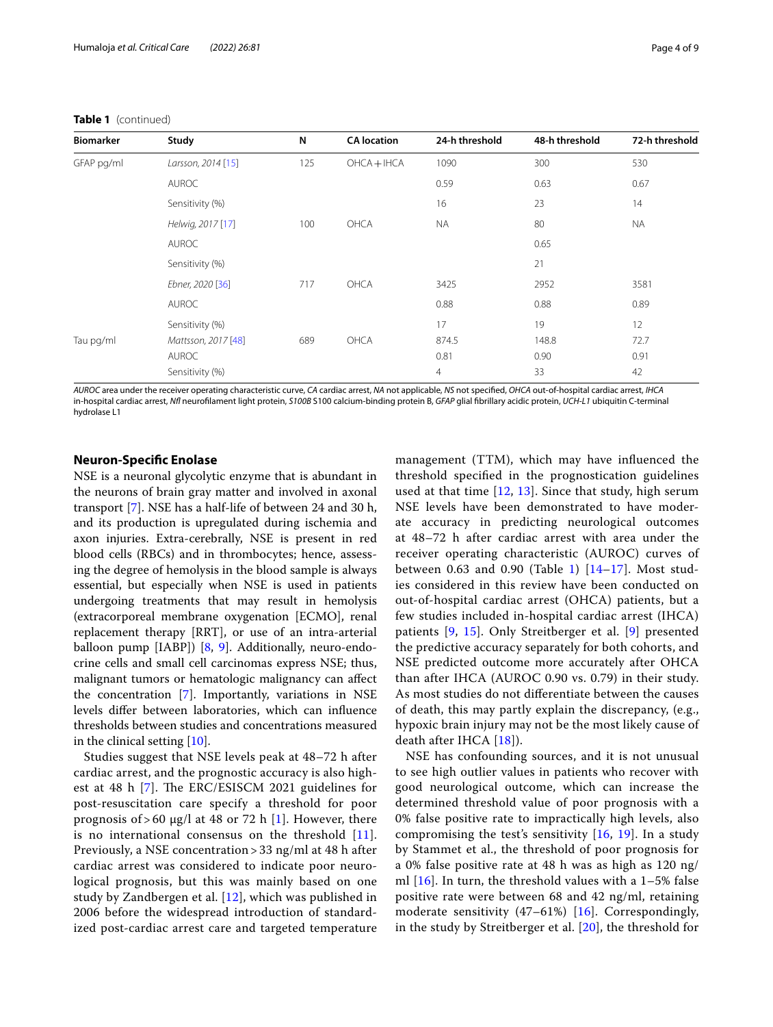## **Table 1** (continued)

| <b>Biomarker</b> | Study               | N   | <b>CA</b> location | 24-h threshold | 48-h threshold | 72-h threshold |
|------------------|---------------------|-----|--------------------|----------------|----------------|----------------|
| GFAP pg/ml       | Larsson, 2014 [15]  | 125 | $OHCA + HCA$       | 1090           | 300            | 530            |
|                  | <b>AUROC</b>        |     |                    | 0.59           | 0.63           | 0.67           |
|                  | Sensitivity (%)     |     |                    | 16             | 23             | 14             |
|                  | Helwig, 2017 [17]   | 100 | OHCA               | <b>NA</b>      | 80             | <b>NA</b>      |
|                  | <b>AUROC</b>        |     |                    |                | 0.65           |                |
|                  | Sensitivity (%)     |     |                    |                | 21             |                |
|                  | Ebner, 2020 [36]    | 717 | OHCA               | 3425           | 2952           | 3581           |
|                  | <b>AUROC</b>        |     |                    | 0.88           | 0.88           | 0.89           |
|                  | Sensitivity (%)     |     |                    | 17             | 19             | 12             |
| Tau pg/ml        | Mattsson, 2017 [48] | 689 | OHCA               | 874.5          | 148.8          | 72.7           |
|                  | <b>AUROC</b>        |     |                    | 0.81           | 0.90           | 0.91           |
|                  | Sensitivity (%)     |     |                    | $\overline{4}$ | 33             | 42             |

*AUROC* area under the receiver operating characteristic curve, *CA* cardiac arrest, *NA* not applicable, *NS* not specified, *OHCA* out-of-hospital cardiac arrest, *IHCA* in-hospital cardiac arrest, *Nfl* neurofilament light protein, *S100B* S100 calcium-binding protein B, *GFAP* glial fibrillary acidic protein, *UCH-L1* ubiquitin C-terminal hydrolase L1

## **Neuron‑Specific Enolase**

NSE is a neuronal glycolytic enzyme that is abundant in the neurons of brain gray matter and involved in axonal transport [[7\]](#page-7-18). NSE has a half-life of between 24 and 30 h, and its production is upregulated during ischemia and axon injuries. Extra-cerebrally, NSE is present in red blood cells (RBCs) and in thrombocytes; hence, assessing the degree of hemolysis in the blood sample is always essential, but especially when NSE is used in patients undergoing treatments that may result in hemolysis (extracorporeal membrane oxygenation [ECMO], renal replacement therapy [RRT], or use of an intra-arterial balloon pump [IABP]) [[8,](#page-7-19) [9](#page-7-10)]. Additionally, neuro-endocrine cells and small cell carcinomas express NSE; thus, malignant tumors or hematologic malignancy can affect the concentration [[7\]](#page-7-18). Importantly, variations in NSE levels differ between laboratories, which can influence thresholds between studies and concentrations measured in the clinical setting [\[10\]](#page-7-20).

Studies suggest that NSE levels peak at 48–72 h after cardiac arrest, and the prognostic accuracy is also highest at 48 h [\[7](#page-7-18)]. The ERC/ESISCM 2021 guidelines for post-resuscitation care specify a threshold for poor prognosis of > 60 μg/l at 48 or 72 h [\[1](#page-7-0)]. However, there is no international consensus on the threshold [[11](#page-7-21)]. Previously, a NSE concentration > 33 ng/ml at 48 h after cardiac arrest was considered to indicate poor neurological prognosis, but this was mainly based on one study by Zandbergen et al. [[12](#page-7-5)], which was published in 2006 before the widespread introduction of standardized post-cardiac arrest care and targeted temperature

management (TTM), which may have influenced the threshold specified in the prognostication guidelines used at that time  $[12, 13]$  $[12, 13]$  $[12, 13]$ . Since that study, high serum NSE levels have been demonstrated to have moderate accuracy in predicting neurological outcomes at 48–72 h after cardiac arrest with area under the receiver operating characteristic (AUROC) curves of between 0.63 and 0.90 (Table [1\)](#page-2-0)  $[14–17]$  $[14–17]$ . Most studies considered in this review have been conducted on out-of-hospital cardiac arrest (OHCA) patients, but a few studies included in-hospital cardiac arrest (IHCA) patients [[9,](#page-7-10) [15](#page-7-7)]. Only Streitberger et al. [[9\]](#page-7-10) presented the predictive accuracy separately for both cohorts, and NSE predicted outcome more accurately after OHCA than after IHCA (AUROC 0.90 vs. 0.79) in their study. As most studies do not differentiate between the causes of death, this may partly explain the discrepancy, (e.g., hypoxic brain injury may not be the most likely cause of death after IHCA [[18\]](#page-7-23)).

NSE has confounding sources, and it is not unusual to see high outlier values in patients who recover with good neurological outcome, which can increase the determined threshold value of poor prognosis with a 0% false positive rate to impractically high levels, also compromising the test's sensitivity [[16](#page-7-8), [19](#page-7-11)]. In a study by Stammet et al., the threshold of poor prognosis for a 0% false positive rate at 48 h was as high as 120 ng/ ml  $[16]$  $[16]$  $[16]$ . In turn, the threshold values with a  $1-5%$  false positive rate were between 68 and 42 ng/ml, retaining moderate sensitivity (47–61%) [\[16](#page-7-8)]. Correspondingly, in the study by Streitberger et al. [[20](#page-7-24)], the threshold for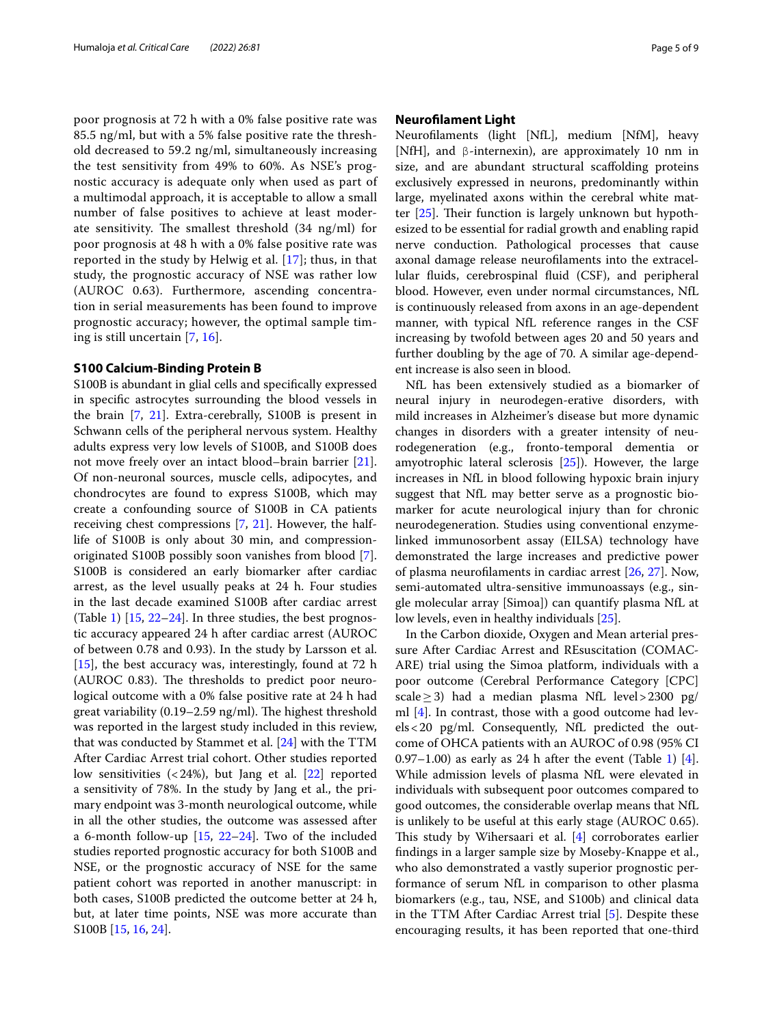poor prognosis at 72 h with a 0% false positive rate was 85.5 ng/ml, but with a 5% false positive rate the threshold decreased to 59.2 ng/ml, simultaneously increasing the test sensitivity from 49% to 60%. As NSE's prognostic accuracy is adequate only when used as part of a multimodal approach, it is acceptable to allow a small number of false positives to achieve at least moderate sensitivity. The smallest threshold (34 ng/ml) for poor prognosis at 48 h with a 0% false positive rate was reported in the study by Helwig et al. [[17\]](#page-7-9); thus, in that study, the prognostic accuracy of NSE was rather low (AUROC 0.63). Furthermore, ascending concentration in serial measurements has been found to improve prognostic accuracy; however, the optimal sample timing is still uncertain [[7,](#page-7-18) [16\]](#page-7-8).

#### **S100 Calcium‑Binding Protein B**

S100B is abundant in glial cells and specifically expressed in specific astrocytes surrounding the blood vessels in the brain [\[7](#page-7-18), [21\]](#page-7-25). Extra-cerebrally, S100B is present in Schwann cells of the peripheral nervous system. Healthy adults express very low levels of S100B, and S100B does not move freely over an intact blood–brain barrier [\[21](#page-7-25)]. Of non-neuronal sources, muscle cells, adipocytes, and chondrocytes are found to express S100B, which may create a confounding source of S100B in CA patients receiving chest compressions [\[7](#page-7-18), [21\]](#page-7-25). However, the halflife of S100B is only about 30 min, and compressionoriginated S100B possibly soon vanishes from blood [\[7](#page-7-18)]. S100B is considered an early biomarker after cardiac arrest, as the level usually peaks at 24 h. Four studies in the last decade examined S100B after cardiac arrest (Table [1](#page-2-0)) [\[15](#page-7-7), [22](#page-7-14)–[24\]](#page-7-12). In three studies, the best prognostic accuracy appeared 24 h after cardiac arrest (AUROC of between 0.78 and 0.93). In the study by Larsson et al. [[15\]](#page-7-7), the best accuracy was, interestingly, found at 72 h (AUROC 0.83). The thresholds to predict poor neurological outcome with a 0% false positive rate at 24 h had great variability (0.19–2.59 ng/ml). The highest threshold was reported in the largest study included in this review, that was conducted by Stammet et al. [\[24](#page-7-12)] with the TTM After Cardiac Arrest trial cohort. Other studies reported low sensitivities  $\left($  < 24%), but Jang et al. [[22\]](#page-7-14) reported a sensitivity of 78%. In the study by Jang et al., the primary endpoint was 3-month neurological outcome, while in all the other studies, the outcome was assessed after a 6-month follow-up [\[15](#page-7-7), [22](#page-7-14)[–24](#page-7-12)]. Two of the included studies reported prognostic accuracy for both S100B and NSE, or the prognostic accuracy of NSE for the same patient cohort was reported in another manuscript: in both cases, S100B predicted the outcome better at 24 h, but, at later time points, NSE was more accurate than S100B [[15,](#page-7-7) [16](#page-7-8), [24](#page-7-12)].

## **Neurofilament Light**

Neurofilaments (light [NfL], medium [NfM], heavy [NfH], and β-internexin), are approximately 10 nm in size, and are abundant structural scaffolding proteins exclusively expressed in neurons, predominantly within large, myelinated axons within the cerebral white matter [[25\]](#page-7-26). Their function is largely unknown but hypothesized to be essential for radial growth and enabling rapid nerve conduction. Pathological processes that cause axonal damage release neurofilaments into the extracellular fluids, cerebrospinal fluid (CSF), and peripheral blood. However, even under normal circumstances, NfL is continuously released from axons in an age-dependent manner, with typical NfL reference ranges in the CSF increasing by twofold between ages 20 and 50 years and further doubling by the age of 70. A similar age-dependent increase is also seen in blood.

NfL has been extensively studied as a biomarker of neural injury in neurodegen-erative disorders, with mild increases in Alzheimer's disease but more dynamic changes in disorders with a greater intensity of neurodegeneration (e.g., fronto-temporal dementia or amyotrophic lateral sclerosis [\[25](#page-7-26)]). However, the large increases in NfL in blood following hypoxic brain injury suggest that NfL may better serve as a prognostic biomarker for acute neurological injury than for chronic neurodegeneration. Studies using conventional enzymelinked immunosorbent assay (EILSA) technology have demonstrated the large increases and predictive power of plasma neurofilaments in cardiac arrest [\[26](#page-7-15), [27](#page-7-27)]. Now, semi-automated ultra-sensitive immunoassays (e.g., single molecular array [Simoa]) can quantify plasma NfL at low levels, even in healthy individuals [\[25](#page-7-26)].

In the Carbon dioxide, Oxygen and Mean arterial pressure After Cardiac Arrest and REsuscitation (COMAC-ARE) trial using the Simoa platform, individuals with a poor outcome (Cerebral Performance Category [CPC] scale  $\geq$  3) had a median plasma NfL level > 2300 pg/ ml [\[4\]](#page-7-3). In contrast, those with a good outcome had levels<20 pg/ml. Consequently, NfL predicted the outcome of OHCA patients with an AUROC of 0.98 (95% CI 0.97–[1](#page-2-0).00) as early as 24 h after the event (Table 1) [\[4](#page-7-3)]. While admission levels of plasma NfL were elevated in individuals with subsequent poor outcomes compared to good outcomes, the considerable overlap means that NfL is unlikely to be useful at this early stage (AUROC 0.65). This study by Wihersaari et al. [[4\]](#page-7-3) corroborates earlier findings in a larger sample size by Moseby-Knappe et al., who also demonstrated a vastly superior prognostic performance of serum NfL in comparison to other plasma biomarkers (e.g., tau, NSE, and S100b) and clinical data in the TTM After Cardiac Arrest trial [\[5](#page-7-16)]. Despite these encouraging results, it has been reported that one-third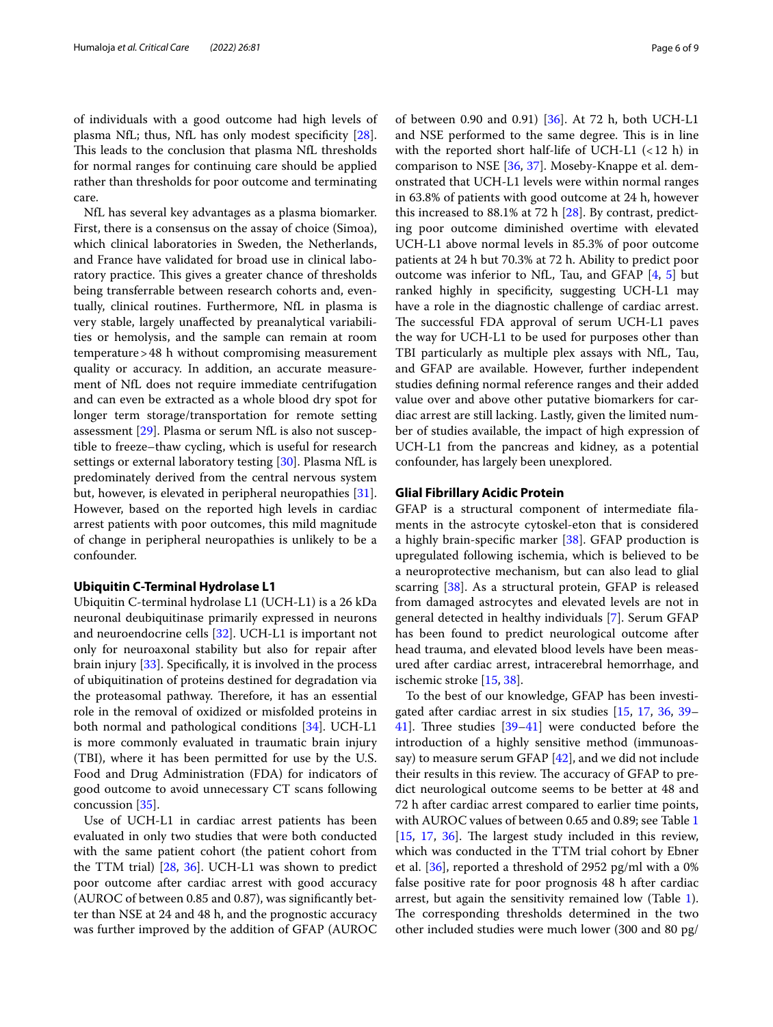of individuals with a good outcome had high levels of plasma NfL; thus, NfL has only modest specificity [\[28](#page-7-28)]. This leads to the conclusion that plasma NfL thresholds for normal ranges for continuing care should be applied rather than thresholds for poor outcome and terminating care.

NfL has several key advantages as a plasma biomarker. First, there is a consensus on the assay of choice (Simoa), which clinical laboratories in Sweden, the Netherlands, and France have validated for broad use in clinical laboratory practice. This gives a greater chance of thresholds being transferrable between research cohorts and, eventually, clinical routines. Furthermore, NfL in plasma is very stable, largely unaffected by preanalytical variabilities or hemolysis, and the sample can remain at room temperature>48 h without compromising measurement quality or accuracy. In addition, an accurate measurement of NfL does not require immediate centrifugation and can even be extracted as a whole blood dry spot for longer term storage/transportation for remote setting assessment [\[29\]](#page-7-29). Plasma or serum NfL is also not susceptible to freeze–thaw cycling, which is useful for research settings or external laboratory testing [\[30\]](#page-7-30). Plasma NfL is predominately derived from the central nervous system but, however, is elevated in peripheral neuropathies [\[31](#page-7-31)]. However, based on the reported high levels in cardiac arrest patients with poor outcomes, this mild magnitude of change in peripheral neuropathies is unlikely to be a confounder.

## **Ubiquitin C‑Terminal Hydrolase L1**

Ubiquitin C-terminal hydrolase L1 (UCH-L1) is a 26 kDa neuronal deubiquitinase primarily expressed in neurons and neuroendocrine cells [[32](#page-7-32)]. UCH-L1 is important not only for neuroaxonal stability but also for repair after brain injury [[33\]](#page-7-33). Specifically, it is involved in the process of ubiquitination of proteins destined for degradation via the proteasomal pathway. Therefore, it has an essential role in the removal of oxidized or misfolded proteins in both normal and pathological conditions [[34\]](#page-7-34). UCH-L1 is more commonly evaluated in traumatic brain injury (TBI), where it has been permitted for use by the U.S. Food and Drug Administration (FDA) for indicators of good outcome to avoid unnecessary CT scans following concussion [[35\]](#page-7-35).

Use of UCH-L1 in cardiac arrest patients has been evaluated in only two studies that were both conducted with the same patient cohort (the patient cohort from the TTM trial) [\[28,](#page-7-28) [36\]](#page-7-17). UCH-L1 was shown to predict poor outcome after cardiac arrest with good accuracy (AUROC of between 0.85 and 0.87), was significantly better than NSE at 24 and 48 h, and the prognostic accuracy was further improved by the addition of GFAP (AUROC of between 0.90 and 0.91) [[36\]](#page-7-17). At 72 h, both UCH-L1 and NSE performed to the same degree. This is in line with the reported short half-life of UCH-L1  $(< 12$  h) in comparison to NSE [\[36](#page-7-17), [37\]](#page-8-1). Moseby-Knappe et al. demonstrated that UCH-L1 levels were within normal ranges in 63.8% of patients with good outcome at 24 h, however this increased to 88.1% at 72 h [\[28](#page-7-28)]. By contrast, predicting poor outcome diminished overtime with elevated UCH-L1 above normal levels in 85.3% of poor outcome patients at 24 h but 70.3% at 72 h. Ability to predict poor outcome was inferior to NfL, Tau, and GFAP [\[4](#page-7-3), [5](#page-7-16)] but ranked highly in specificity, suggesting UCH-L1 may have a role in the diagnostic challenge of cardiac arrest. The successful FDA approval of serum UCH-L1 paves the way for UCH-L1 to be used for purposes other than TBI particularly as multiple plex assays with NfL, Tau, and GFAP are available. However, further independent studies defining normal reference ranges and their added value over and above other putative biomarkers for cardiac arrest are still lacking. Lastly, given the limited number of studies available, the impact of high expression of UCH-L1 from the pancreas and kidney, as a potential confounder, has largely been unexplored.

## **Glial Fibrillary Acidic Protein**

GFAP is a structural component of intermediate filaments in the astrocyte cytoskel-eton that is considered a highly brain-specific marker [\[38](#page-8-2)]. GFAP production is upregulated following ischemia, which is believed to be a neuroprotective mechanism, but can also lead to glial scarring [[38\]](#page-8-2). As a structural protein, GFAP is released from damaged astrocytes and elevated levels are not in general detected in healthy individuals [[7\]](#page-7-18). Serum GFAP has been found to predict neurological outcome after head trauma, and elevated blood levels have been measured after cardiac arrest, intracerebral hemorrhage, and ischemic stroke [[15,](#page-7-7) [38](#page-8-2)].

To the best of our knowledge, GFAP has been investigated after cardiac arrest in six studies [[15](#page-7-7), [17](#page-7-9), [36,](#page-7-17) [39–](#page-8-3) [41\]](#page-8-4). Three studies [\[39](#page-8-3)[–41](#page-8-4)] were conducted before the introduction of a highly sensitive method (immunoassay) to measure serum GFAP [\[42](#page-8-5)], and we did not include their results in this review. The accuracy of GFAP to predict neurological outcome seems to be better at 48 and 72 h after cardiac arrest compared to earlier time points, with AUROC values of between 0.65 and 0.89; see Table [1](#page-2-0) [[15,](#page-7-7) [17](#page-7-9), [36\]](#page-7-17). The largest study included in this review, which was conducted in the TTM trial cohort by Ebner et al. [[36\]](#page-7-17), reported a threshold of 2952 pg/ml with a 0% false positive rate for poor prognosis 48 h after cardiac arrest, but again the sensitivity remained low (Table [1](#page-2-0)). The corresponding thresholds determined in the two other included studies were much lower (300 and 80 pg/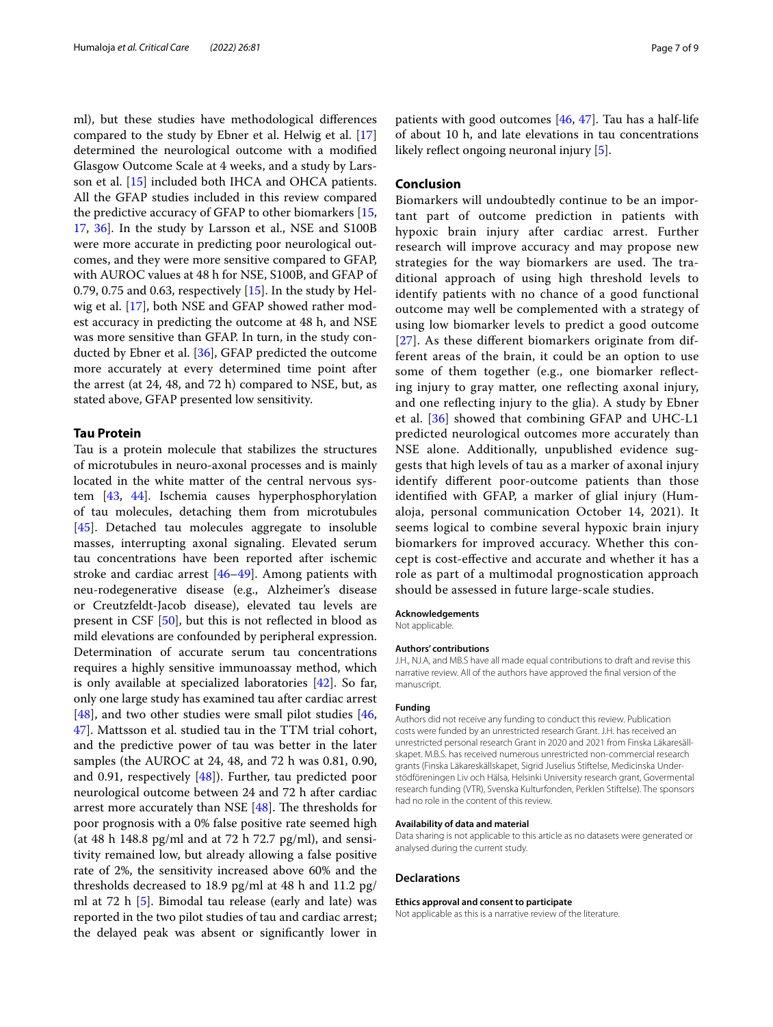ml), but these studies have methodological differences compared to the study by Ebner et al. Helwig et al. [[17](#page-7-9)] determined the neurological outcome with a modified Glasgow Outcome Scale at 4 weeks, and a study by Larsson et al. [\[15](#page-7-7)] included both IHCA and OHCA patients. All the GFAP studies included in this review compared the predictive accuracy of GFAP to other biomarkers [\[15](#page-7-7), [17,](#page-7-9) [36](#page-7-17)]. In the study by Larsson et al., NSE and S100B were more accurate in predicting poor neurological outcomes, and they were more sensitive compared to GFAP, with AUROC values at 48 h for NSE, S100B, and GFAP of 0.79, 0.75 and 0.63, respectively  $[15]$  $[15]$ . In the study by Helwig et al. [[17\]](#page-7-9), both NSE and GFAP showed rather modest accuracy in predicting the outcome at 48 h, and NSE was more sensitive than GFAP. In turn, in the study conducted by Ebner et al. [\[36](#page-7-17)], GFAP predicted the outcome more accurately at every determined time point after the arrest (at 24, 48, and 72 h) compared to NSE, but, as stated above, GFAP presented low sensitivity.

### **Tau Protein**

Tau is a protein molecule that stabilizes the structures of microtubules in neuro-axonal processes and is mainly located in the white matter of the central nervous system [\[43](#page-8-6), [44\]](#page-8-7). Ischemia causes hyperphosphorylation of tau molecules, detaching them from microtubules [[45\]](#page-8-8). Detached tau molecules aggregate to insoluble masses, interrupting axonal signaling. Elevated serum tau concentrations have been reported after ischemic stroke and cardiac arrest [[46](#page-8-9)[–49](#page-8-10)]. Among patients with neu-rodegenerative disease (e.g., Alzheimer's disease or Creutzfeldt-Jacob disease), elevated tau levels are present in CSF [[50\]](#page-8-11), but this is not reflected in blood as mild elevations are confounded by peripheral expression. Determination of accurate serum tau concentrations requires a highly sensitive immunoassay method, which is only available at specialized laboratories [\[42](#page-8-5)]. So far, only one large study has examined tau after cardiac arrest [[48\]](#page-8-0), and two other studies were small pilot studies [\[46](#page-8-9), [47\]](#page-8-12). Mattsson et al. studied tau in the TTM trial cohort, and the predictive power of tau was better in the later samples (the AUROC at 24, 48, and 72 h was 0.81, 0.90, and 0.91, respectively [[48](#page-8-0)]). Further, tau predicted poor neurological outcome between 24 and 72 h after cardiac arrest more accurately than NSE [[48\]](#page-8-0). The thresholds for poor prognosis with a 0% false positive rate seemed high (at 48 h 148.8 pg/ml and at 72 h 72.7 pg/ml), and sensitivity remained low, but already allowing a false positive rate of 2%, the sensitivity increased above 60% and the thresholds decreased to 18.9 pg/ml at 48 h and 11.2 pg/ ml at 72 h [\[5](#page-7-16)]. Bimodal tau release (early and late) was reported in the two pilot studies of tau and cardiac arrest; the delayed peak was absent or significantly lower in

patients with good outcomes [\[46,](#page-8-9) [47\]](#page-8-12). Tau has a half-life of about 10 h, and late elevations in tau concentrations likely reflect ongoing neuronal injury [[5\]](#page-7-16).

## **Conclusion**

Biomarkers will undoubtedly continue to be an important part of outcome prediction in patients with hypoxic brain injury after cardiac arrest. Further research will improve accuracy and may propose new strategies for the way biomarkers are used. The traditional approach of using high threshold levels to identify patients with no chance of a good functional outcome may well be complemented with a strategy of using low biomarker levels to predict a good outcome [[27](#page-7-27)]. As these different biomarkers originate from different areas of the brain, it could be an option to use some of them together (e.g., one biomarker reflecting injury to gray matter, one reflecting axonal injury, and one reflecting injury to the glia). A study by Ebner et al. [[36](#page-7-17)] showed that combining GFAP and UHC-L1 predicted neurological outcomes more accurately than NSE alone. Additionally, unpublished evidence suggests that high levels of tau as a marker of axonal injury identify different poor-outcome patients than those identified with GFAP, a marker of glial injury (Humaloja, personal communication October 14, 2021). It seems logical to combine several hypoxic brain injury biomarkers for improved accuracy. Whether this concept is cost-effective and accurate and whether it has a role as part of a multimodal prognostication approach should be assessed in future large-scale studies.

#### **Acknowledgements**

Not applicable.

#### **Authors' contributions**

J.H., NJ.A, and MB.S have all made equal contributions to draft and revise this narrative review. All of the authors have approved the final version of the manuscript.

#### **Funding**

Authors did not receive any funding to conduct this review. Publication costs were funded by an unrestricted research Grant. J.H. has received an unrestricted personal research Grant in 2020 and 2021 from Finska Läkaresällskapet. M.B.S. has received numerous unrestricted non-commercial research grants (Finska Läkareskällskapet, Sigrid Juselius Stiftelse, Medicinska Understödföreningen Liv och Hälsa, Helsinki University research grant, Govermental research funding (VTR), Svenska Kulturfonden, Perklen Stiftelse). The sponsors had no role in the content of this review.

#### **Availability of data and material**

Data sharing is not applicable to this article as no datasets were generated or analysed during the current study.

#### **Declarations**

#### **Ethics approval and consent to participate**

Not applicable as this is a narrative review of the literature.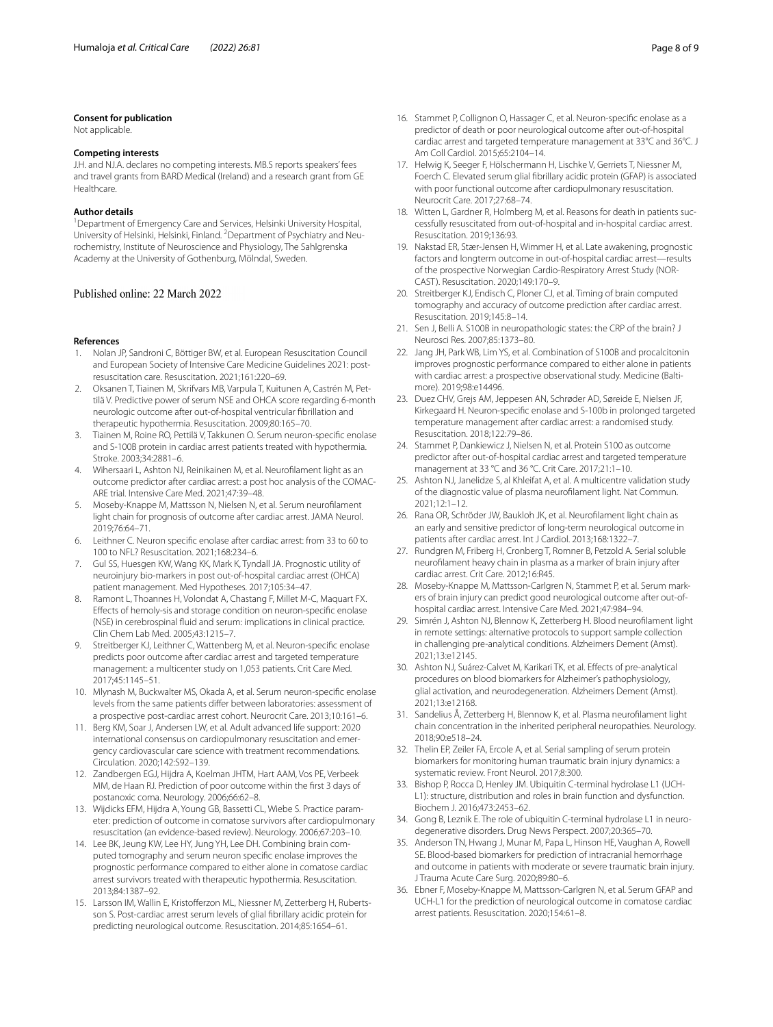#### **Consent for publication**

Not applicable.

## **Competing interests**

J.H. and NJ.A. declares no competing interests. MB.S reports speakers' fees and travel grants from BARD Medical (Ireland) and a research grant from GE Healthcare.

#### **Author details**

<sup>1</sup> Department of Emergency Care and Services, Helsinki University Hospital, University of Helsinki, Helsinki, Finland. <sup>2</sup> Department of Psychiatry and Neurochemistry, Institute of Neuroscience and Physiology, The Sahlgrenska Academy at the University of Gothenburg, Mölndal, Sweden.

#### Published online: 22 March 2022

#### **References**

- <span id="page-7-0"></span>1. Nolan JP, Sandroni C, Böttiger BW, et al. European Resuscitation Council and European Society of Intensive Care Medicine Guidelines 2021: postresuscitation care. Resuscitation. 2021;161:220–69.
- <span id="page-7-1"></span>2. Oksanen T, Tiainen M, Skrifvars MB, Varpula T, Kuitunen A, Castrén M, Pettilä V. Predictive power of serum NSE and OHCA score regarding 6-month neurologic outcome after out-of-hospital ventricular fibrillation and therapeutic hypothermia. Resuscitation. 2009;80:165–70.
- <span id="page-7-2"></span>3. Tiainen M, Roine RO, Pettilä V, Takkunen O. Serum neuron-specific enolase and S-100B protein in cardiac arrest patients treated with hypothermia. Stroke. 2003;34:2881–6.
- <span id="page-7-3"></span>4. Wihersaari L, Ashton NJ, Reinikainen M, et al. Neurofilament light as an outcome predictor after cardiac arrest: a post hoc analysis of the COMAC-ARE trial. Intensive Care Med. 2021;47:39–48.
- <span id="page-7-16"></span>5. Moseby-Knappe M, Mattsson N, Nielsen N, et al. Serum neurofilament light chain for prognosis of outcome after cardiac arrest. JAMA Neurol. 2019;76:64–71.
- <span id="page-7-4"></span>6. Leithner C. Neuron specific enolase after cardiac arrest: from 33 to 60 to 100 to NFL? Resuscitation. 2021;168:234–6.
- <span id="page-7-18"></span>7. Gul SS, Huesgen KW, Wang KK, Mark K, Tyndall JA. Prognostic utility of neuroinjury bio-markers in post out-of-hospital cardiac arrest (OHCA) patient management. Med Hypotheses. 2017;105:34–47.
- <span id="page-7-19"></span>8. Ramont L, Thoannes H, Volondat A, Chastang F, Millet M-C, Maquart FX. Effects of hemoly-sis and storage condition on neuron-specific enolase (NSE) in cerebrospinal fluid and serum: implications in clinical practice. Clin Chem Lab Med. 2005;43:1215–7.
- <span id="page-7-10"></span>9. Streitberger KJ, Leithner C, Wattenberg M, et al. Neuron-specific enolase predicts poor outcome after cardiac arrest and targeted temperature management: a multicenter study on 1,053 patients. Crit Care Med. 2017;45:1145–51.
- <span id="page-7-20"></span>10. Mlynash M, Buckwalter MS, Okada A, et al. Serum neuron-specific enolase levels from the same patients differ between laboratories: assessment of a prospective post-cardiac arrest cohort. Neurocrit Care. 2013;10:161–6.
- <span id="page-7-21"></span>11. Berg KM, Soar J, Andersen LW, et al. Adult advanced life support: 2020 international consensus on cardiopulmonary resuscitation and emergency cardiovascular care science with treatment recommendations. Circulation. 2020;142:S92–139.
- <span id="page-7-5"></span>12. Zandbergen EGJ, Hijdra A, Koelman JHTM, Hart AAM, Vos PE, Verbeek MM, de Haan RJ. Prediction of poor outcome within the first 3 days of postanoxic coma. Neurology. 2006;66:62–8.
- <span id="page-7-22"></span>13. Wijdicks EFM, Hijdra A, Young GB, Bassetti CL, Wiebe S. Practice parameter: prediction of outcome in comatose survivors after cardiopulmonary resuscitation (an evidence-based review). Neurology. 2006;67:203–10.
- <span id="page-7-6"></span>14. Lee BK, Jeung KW, Lee HY, Jung YH, Lee DH. Combining brain computed tomography and serum neuron specific enolase improves the prognostic performance compared to either alone in comatose cardiac arrest survivors treated with therapeutic hypothermia. Resuscitation. 2013;84:1387–92.
- <span id="page-7-7"></span>15. Larsson IM, Wallin E, Kristofferzon ML, Niessner M, Zetterberg H, Rubertsson S. Post-cardiac arrest serum levels of glial fibrillary acidic protein for predicting neurological outcome. Resuscitation. 2014;85:1654–61.
- <span id="page-7-8"></span>16. Stammet P, Collignon O, Hassager C, et al. Neuron-specific enolase as a predictor of death or poor neurological outcome after out-of-hospital cardiac arrest and targeted temperature management at 33°C and 36°C. J Am Coll Cardiol. 2015;65:2104–14.
- <span id="page-7-9"></span>17. Helwig K, Seeger F, Hölschermann H, Lischke V, Gerriets T, Niessner M, Foerch C. Elevated serum glial fibrillary acidic protein (GFAP) is associated with poor functional outcome after cardiopulmonary resuscitation. Neurocrit Care. 2017;27:68–74.
- <span id="page-7-23"></span>18. Witten L, Gardner R, Holmberg M, et al. Reasons for death in patients successfully resuscitated from out-of-hospital and in-hospital cardiac arrest. Resuscitation. 2019;136:93.
- <span id="page-7-11"></span>19. Nakstad ER, Stær-Jensen H, Wimmer H, et al. Late awakening, prognostic factors and longterm outcome in out-of-hospital cardiac arrest—results of the prospective Norwegian Cardio-Respiratory Arrest Study (NOR-CAST). Resuscitation. 2020;149:170–9.
- <span id="page-7-24"></span>20. Streitberger KJ, Endisch C, Ploner CJ, et al. Timing of brain computed tomography and accuracy of outcome prediction after cardiac arrest. Resuscitation. 2019;145:8–14.
- <span id="page-7-25"></span>21. Sen J, Belli A. S100B in neuropathologic states: the CRP of the brain? J Neurosci Res. 2007;85:1373–80.
- <span id="page-7-14"></span>22. Jang JH, Park WB, Lim YS, et al. Combination of S100B and procalcitonin improves prognostic performance compared to either alone in patients with cardiac arrest: a prospective observational study. Medicine (Baltimore). 2019;98:e14496.
- <span id="page-7-13"></span>23. Duez CHV, Grejs AM, Jeppesen AN, Schrøder AD, Søreide E, Nielsen JF, Kirkegaard H. Neuron-specific enolase and S-100b in prolonged targeted temperature management after cardiac arrest: a randomised study. Resuscitation. 2018;122:79–86.
- <span id="page-7-12"></span>24. Stammet P, Dankiewicz J, Nielsen N, et al. Protein S100 as outcome predictor after out-of-hospital cardiac arrest and targeted temperature management at 33 °C and 36 °C. Crit Care. 2017;21:1–10.
- <span id="page-7-26"></span>25. Ashton NJ, Janelidze S, al Khleifat A, et al. A multicentre validation study of the diagnostic value of plasma neurofilament light. Nat Commun. 2021;12:1–12.
- <span id="page-7-15"></span>26. Rana OR, Schröder JW, Baukloh JK, et al. Neurofilament light chain as an early and sensitive predictor of long-term neurological outcome in patients after cardiac arrest. Int J Cardiol. 2013;168:1322–7.
- <span id="page-7-27"></span>27. Rundgren M, Friberg H, Cronberg T, Romner B, Petzold A. Serial soluble neurofilament heavy chain in plasma as a marker of brain injury after cardiac arrest. Crit Care. 2012;16:R45.
- <span id="page-7-28"></span>28. Moseby-Knappe M, Mattsson-Carlgren N, Stammet P, et al. Serum markers of brain injury can predict good neurological outcome after out-ofhospital cardiac arrest. Intensive Care Med. 2021;47:984–94.
- <span id="page-7-29"></span>29. Simrén J, Ashton NJ, Blennow K, Zetterberg H. Blood neurofilament light in remote settings: alternative protocols to support sample collection in challenging pre-analytical conditions. Alzheimers Dement (Amst). 2021;13:e12145.
- <span id="page-7-30"></span>30. Ashton NJ, Suárez-Calvet M, Karikari TK, et al. Effects of pre-analytical procedures on blood biomarkers for Alzheimer's pathophysiology, glial activation, and neurodegeneration. Alzheimers Dement (Amst). 2021;13:e12168.
- <span id="page-7-31"></span>31. Sandelius Å, Zetterberg H, Blennow K, et al. Plasma neurofilament light chain concentration in the inherited peripheral neuropathies. Neurology. 2018;90:e518–24.
- <span id="page-7-32"></span>32. Thelin EP, Zeiler FA, Ercole A, et al. Serial sampling of serum protein biomarkers for monitoring human traumatic brain injury dynamics: a systematic review. Front Neurol. 2017;8:300.
- <span id="page-7-33"></span>33. Bishop P, Rocca D, Henley JM. Ubiquitin C-terminal hydrolase L1 (UCH-L1): structure, distribution and roles in brain function and dysfunction. Biochem J. 2016;473:2453–62.
- <span id="page-7-34"></span>34. Gong B, Leznik E. The role of ubiquitin C-terminal hydrolase L1 in neurodegenerative disorders. Drug News Perspect. 2007;20:365–70.
- <span id="page-7-35"></span>35. Anderson TN, Hwang J, Munar M, Papa L, Hinson HE, Vaughan A, Rowell SE. Blood-based biomarkers for prediction of intracranial hemorrhage and outcome in patients with moderate or severe traumatic brain injury. J Trauma Acute Care Surg. 2020;89:80–6.
- <span id="page-7-17"></span>36. Ebner F, Moseby-Knappe M, Mattsson-Carlgren N, et al. Serum GFAP and UCH-L1 for the prediction of neurological outcome in comatose cardiac arrest patients. Resuscitation. 2020;154:61–8.